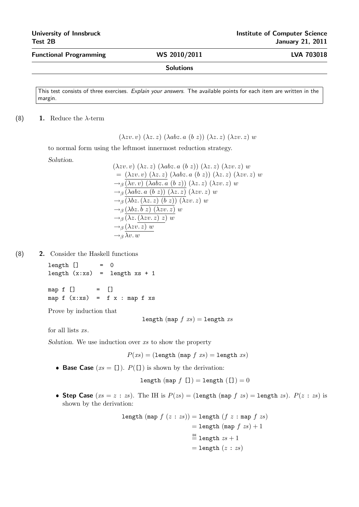Functional Programming WS 2010/2011 LVA 703018

Solutions

This test consists of three exercises. Explain your answers. The available points for each item are written in the margin.

## (8) 1. Reduce the  $\lambda$ -term

 $(\lambda zv. v)$   $(\lambda z. z)$   $(\lambda abz. a (b z))$   $(\lambda z. z)$   $(\lambda zv. z) w$ 

to normal form using the leftmost innermost reduction strategy.

Solution.

$$
(\lambda zv. v) (\lambda z. z) (\lambda abz. a (b z)) (\lambda z. z) (\lambda zv. z) w
$$
  
=  $(\lambda zv. v) (\lambda z. z) (\lambda abz. a (b z)) (\lambda z. z) (\lambda zv. z) w$   
 $\rightarrow_{\beta} (\lambda v. v) (\lambda abz. a (b z)) (\lambda z. z) (\lambda zv. z) w$   
 $\rightarrow_{\beta} (\lambda abz. a (b z)) (\lambda z. z) (\lambda zv. z) w$   
 $\rightarrow_{\beta} (\lambda bz. (\lambda z. z) (b z)) (\lambda zv. z) w$   
 $\rightarrow_{\beta} (\lambda bz. \overline{b z}) (\lambda zv. z) w$   
 $\rightarrow_{\beta} (\lambda z. (\lambda zv. z) z) w$   
 $\rightarrow_{\beta} (\lambda zv. z) w$   
 $\rightarrow_{\beta} \lambda v. w$ 

(8) 2. Consider the Haskell functions

 $length$   $]$  = 0 length  $(x:xs)$  = length  $xs + 1$ 

map  $f$  []  $=$  [] map  $f(x:xs) = f(x : map f xs)$ 

Prove by induction that

length (map  $f$   $xs$ ) = length  $xs$ 

for all lists  $xs$ .

Solution. We use induction over xs to show the property

 $P(xs) = (length (map f xs) = length xs)$ 

• Base Case  $(xs = [1])$ .  $P([1])$  is shown by the derivation:

length (map  $f$  []) = length ([]) = 0

• Step Case  $(xs = z : zs)$ . The IH is  $P(zs) = (length (map f zs) = length zs)$ .  $P(z : zs)$  is shown by the derivation:

length (map 
$$
f(z : zs)
$$
) = length  $(f z : \text{map } f zs)$   
= length (map  $f xs$ ) + 1  
 $\stackrel{\text{III}}{=}$  length  $zs$  + 1  
= length  $(z : zs)$